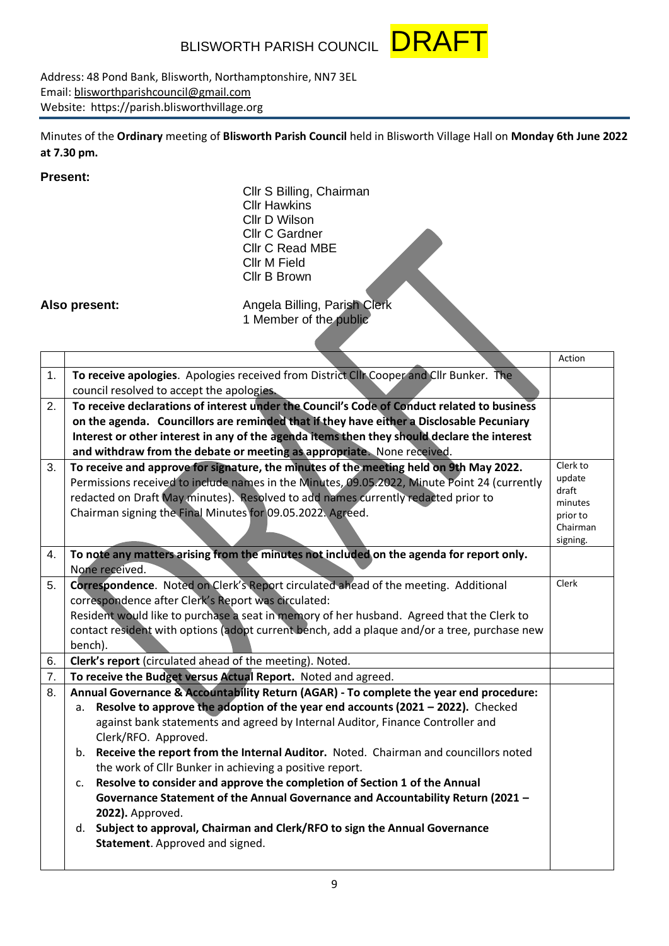BLISWORTH PARISH COUNCIL **DRA** 



Address: 48 Pond Bank, Blisworth, Northamptonshire, NN7 3EL Email: [blisworthparishcouncil@gmail.com](mailto:blisworthparishcouncil@gmail.com) Website: https://parish.blisworthvillage.org

Minutes of the **Ordinary** meeting of **Blisworth Parish Council** held in Blisworth Village Hall on **Monday 6th June 2022 at 7.30 pm.**

## **Present:**

Cllr S Billing, Chairman Cllr Hawkins Cllr D Wilson Cllr C Gardner Cllr C Read MBE Cllr M Field Cllr B Brown

**Also present:** Angela Billing, Parish Clerk

1 Member of the public

|    |                                                                                                                                                                                         | Action              |
|----|-----------------------------------------------------------------------------------------------------------------------------------------------------------------------------------------|---------------------|
| 1. | To receive apologies. Apologies received from District Clir Cooper and Clir Bunker. The<br>council resolved to accept the apologies.                                                    |                     |
| 2. | To receive declarations of interest under the Council's Code of Conduct related to business                                                                                             |                     |
|    | on the agenda. Councillors are reminded that if they have either a Disclosable Pecuniary<br>Interest or other interest in any of the agenda items then they should declare the interest |                     |
|    | and withdraw from the debate or meeting as appropriate. None received.                                                                                                                  |                     |
| 3. | To receive and approve for signature, the minutes of the meeting held on 9th May 2022.                                                                                                  | Clerk to            |
|    | Permissions received to include names in the Minutes, 09.05.2022, Minute Point 24 (currently                                                                                            | update              |
|    | redacted on Draft May minutes). Resolved to add names currently redacted prior to                                                                                                       | draft               |
|    | Chairman signing the Final Minutes for 09.05.2022. Agreed.                                                                                                                              | minutes<br>prior to |
|    |                                                                                                                                                                                         | Chairman            |
|    |                                                                                                                                                                                         | signing.            |
| 4. | To note any matters arising from the minutes not included on the agenda for report only.<br>None received.                                                                              |                     |
| 5. | Correspondence. Noted on Clerk's Report circulated ahead of the meeting. Additional                                                                                                     | Clerk               |
|    | correspondence after Clerk's Report was circulated:                                                                                                                                     |                     |
|    | Resident would like to purchase a seat in memory of her husband. Agreed that the Clerk to                                                                                               |                     |
|    | contact resident with options (adopt current bench, add a plaque and/or a tree, purchase new<br>bench).                                                                                 |                     |
| 6. | Clerk's report (circulated ahead of the meeting). Noted.                                                                                                                                |                     |
| 7. | To receive the Budget versus Actual Report. Noted and agreed.                                                                                                                           |                     |
| 8. | Annual Governance & Accountability Return (AGAR) - To complete the year end procedure:                                                                                                  |                     |
|    | Resolve to approve the adoption of the year end accounts (2021 - 2022). Checked<br>a.                                                                                                   |                     |
|    | against bank statements and agreed by Internal Auditor, Finance Controller and                                                                                                          |                     |
|    | Clerk/RFO. Approved.                                                                                                                                                                    |                     |
|    | b. Receive the report from the Internal Auditor. Noted. Chairman and councillors noted                                                                                                  |                     |
|    | the work of Cllr Bunker in achieving a positive report.                                                                                                                                 |                     |
|    | Resolve to consider and approve the completion of Section 1 of the Annual<br>c.                                                                                                         |                     |
|    | Governance Statement of the Annual Governance and Accountability Return (2021 -                                                                                                         |                     |
|    | 2022). Approved.<br>d. Subject to approval, Chairman and Clerk/RFO to sign the Annual Governance                                                                                        |                     |
|    | Statement. Approved and signed.                                                                                                                                                         |                     |
|    |                                                                                                                                                                                         |                     |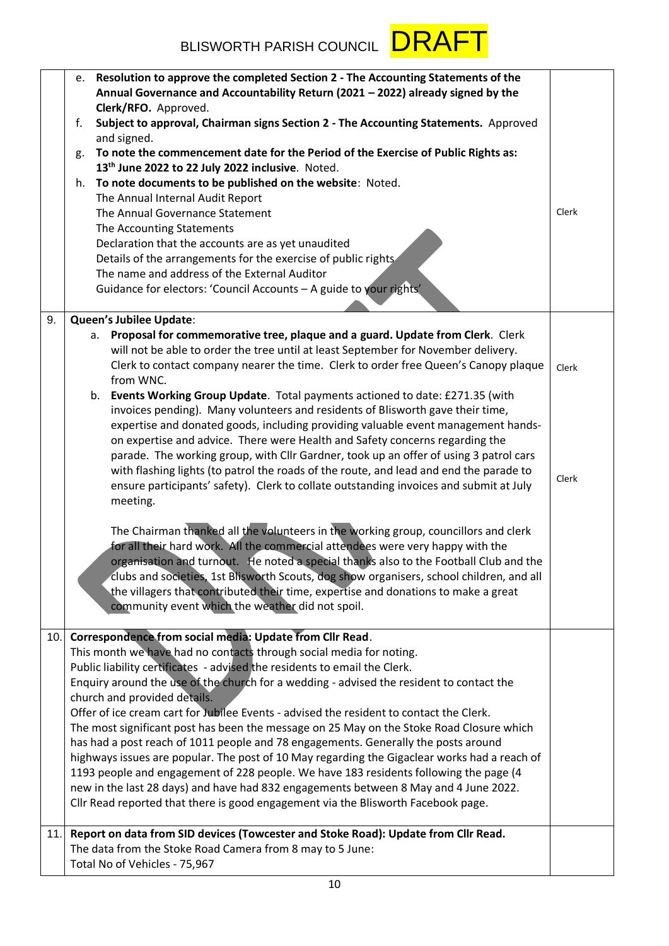

|     | e. | Resolution to approve the completed Section 2 - The Accounting Statements of the<br>Annual Governance and Accountability Return (2021 - 2022) already signed by the              |       |
|-----|----|----------------------------------------------------------------------------------------------------------------------------------------------------------------------------------|-------|
|     |    | Clerk/RFO. Approved.                                                                                                                                                             |       |
|     | f. | Subject to approval, Chairman signs Section 2 - The Accounting Statements. Approved<br>and signed.                                                                               |       |
|     | g. | To note the commencement date for the Period of the Exercise of Public Rights as:                                                                                                |       |
|     |    | 13th June 2022 to 22 July 2022 inclusive. Noted.                                                                                                                                 |       |
|     | h. | To note documents to be published on the website: Noted.                                                                                                                         |       |
|     |    | The Annual Internal Audit Report                                                                                                                                                 |       |
|     |    | The Annual Governance Statement                                                                                                                                                  | Clerk |
|     |    | The Accounting Statements                                                                                                                                                        |       |
|     |    | Declaration that the accounts are as yet unaudited                                                                                                                               |       |
|     |    | Details of the arrangements for the exercise of public rights                                                                                                                    |       |
|     |    | The name and address of the External Auditor                                                                                                                                     |       |
|     |    | Guidance for electors: 'Council Accounts - A guide to your rights'                                                                                                               |       |
|     |    |                                                                                                                                                                                  |       |
| 9.  |    | Queen's Jubilee Update:                                                                                                                                                          |       |
|     |    | a. Proposal for commemorative tree, plaque and a guard. Update from Clerk. Clerk                                                                                                 |       |
|     |    | will not be able to order the tree until at least September for November delivery.                                                                                               |       |
|     |    | Clerk to contact company nearer the time. Clerk to order free Queen's Canopy plaque                                                                                              | Clerk |
|     |    | from WNC.                                                                                                                                                                        |       |
|     |    | b. Events Working Group Update. Total payments actioned to date: £271.35 (with                                                                                                   |       |
|     |    | invoices pending). Many volunteers and residents of Blisworth gave their time,                                                                                                   |       |
|     |    | expertise and donated goods, including providing valuable event management hands-                                                                                                |       |
|     |    | on expertise and advice. There were Health and Safety concerns regarding the                                                                                                     |       |
|     |    | parade. The working group, with Cllr Gardner, took up an offer of using 3 patrol cars                                                                                            |       |
|     |    | with flashing lights (to patrol the roads of the route, and lead and end the parade to<br>ensure participants' safety). Clerk to collate outstanding invoices and submit at July | Clerk |
|     |    | meeting.                                                                                                                                                                         |       |
|     |    |                                                                                                                                                                                  |       |
|     |    | The Chairman thanked all the volunteers in the working group, councillors and clerk                                                                                              |       |
|     |    | for all their hard work. All the commercial attendees were very happy with the                                                                                                   |       |
|     |    | organisation and turnout. He noted a special thanks also to the Football Club and the                                                                                            |       |
|     |    | clubs and societies, 1st Blisworth Scouts, dog show organisers, school children, and all                                                                                         |       |
|     |    | the villagers that contributed their time, expertise and donations to make a great                                                                                               |       |
|     |    | community event which the weather did not spoil.                                                                                                                                 |       |
|     |    |                                                                                                                                                                                  |       |
| 10. |    | Correspondence from social media: Update from Cllr Read.                                                                                                                         |       |
|     |    | This month we have had no contacts through social media for noting.                                                                                                              |       |
|     |    | Public liability certificates - advised the residents to email the Clerk.                                                                                                        |       |
|     |    | Enquiry around the use of the church for a wedding - advised the resident to contact the                                                                                         |       |
|     |    | church and provided details.                                                                                                                                                     |       |
|     |    | Offer of ice cream cart for Jubilee Events - advised the resident to contact the Clerk.                                                                                          |       |
|     |    | The most significant post has been the message on 25 May on the Stoke Road Closure which                                                                                         |       |
|     |    | has had a post reach of 1011 people and 78 engagements. Generally the posts around                                                                                               |       |
|     |    | highways issues are popular. The post of 10 May regarding the Gigaclear works had a reach of                                                                                     |       |
|     |    | 1193 people and engagement of 228 people. We have 183 residents following the page (4                                                                                            |       |
|     |    | new in the last 28 days) and have had 832 engagements between 8 May and 4 June 2022.                                                                                             |       |
|     |    | Cllr Read reported that there is good engagement via the Blisworth Facebook page.                                                                                                |       |
|     |    |                                                                                                                                                                                  |       |
| 11. |    | Report on data from SID devices (Towcester and Stoke Road): Update from Cllr Read.                                                                                               |       |
|     |    | The data from the Stoke Road Camera from 8 may to 5 June:                                                                                                                        |       |
|     |    | Total No of Vehicles - 75,967                                                                                                                                                    |       |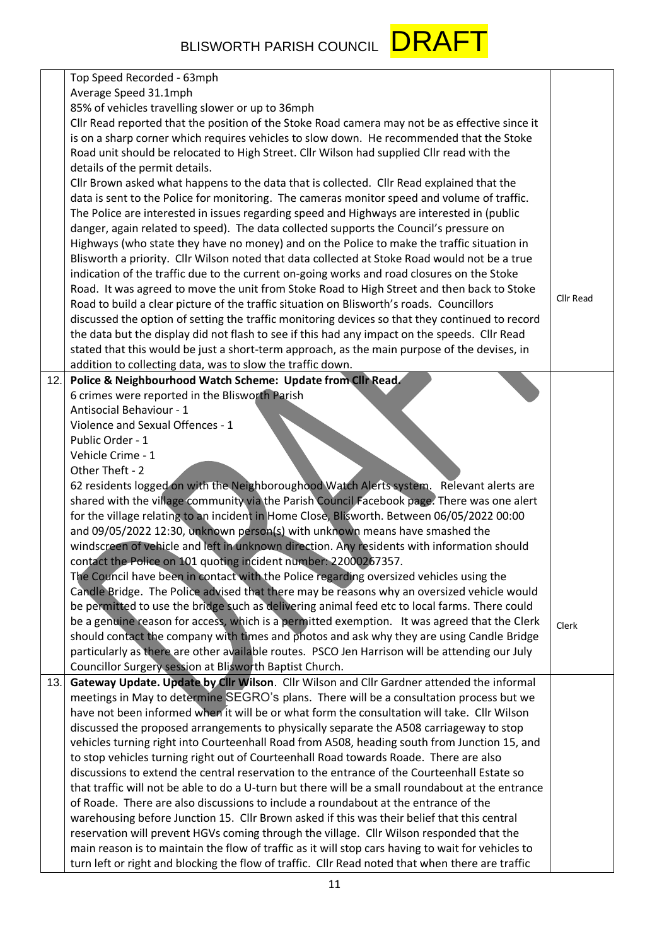

|     | Top Speed Recorded - 63mph                                                                         |           |
|-----|----------------------------------------------------------------------------------------------------|-----------|
|     | Average Speed 31.1mph                                                                              |           |
|     | 85% of vehicles travelling slower or up to 36mph                                                   |           |
|     | Cllr Read reported that the position of the Stoke Road camera may not be as effective since it     |           |
|     | is on a sharp corner which requires vehicles to slow down. He recommended that the Stoke           |           |
|     | Road unit should be relocated to High Street. Cllr Wilson had supplied Cllr read with the          |           |
|     | details of the permit details.                                                                     |           |
|     | Cllr Brown asked what happens to the data that is collected. Cllr Read explained that the          |           |
|     | data is sent to the Police for monitoring. The cameras monitor speed and volume of traffic.        |           |
|     | The Police are interested in issues regarding speed and Highways are interested in (public         |           |
|     | danger, again related to speed). The data collected supports the Council's pressure on             |           |
|     | Highways (who state they have no money) and on the Police to make the traffic situation in         |           |
|     | Blisworth a priority. Cllr Wilson noted that data collected at Stoke Road would not be a true      |           |
|     | indication of the traffic due to the current on-going works and road closures on the Stoke         |           |
|     | Road. It was agreed to move the unit from Stoke Road to High Street and then back to Stoke         |           |
|     | Road to build a clear picture of the traffic situation on Blisworth's roads. Councillors           | Cllr Read |
|     | discussed the option of setting the traffic monitoring devices so that they continued to record    |           |
|     | the data but the display did not flash to see if this had any impact on the speeds. Cllr Read      |           |
|     | stated that this would be just a short-term approach, as the main purpose of the devises, in       |           |
|     | addition to collecting data, was to slow the traffic down.                                         |           |
| 12. | Police & Neighbourhood Watch Scheme: Update from Clir Read.                                        |           |
|     | 6 crimes were reported in the Blisworth Parish                                                     |           |
|     | Antisocial Behaviour - 1                                                                           |           |
|     | Violence and Sexual Offences - 1                                                                   |           |
|     | Public Order - 1                                                                                   |           |
|     | Vehicle Crime - 1                                                                                  |           |
|     | Other Theft - 2                                                                                    |           |
|     | 62 residents logged on with the Neighboroughood Watch Alerts system. Relevant alerts are           |           |
|     | shared with the village community via the Parish Council Facebook page. There was one alert        |           |
|     | for the village relating to an incident in Home Close, Blisworth. Between 06/05/2022 00:00         |           |
|     | and 09/05/2022 12:30, unknown person(s) with unknown means have smashed the                        |           |
|     | windscreen of vehicle and left in unknown direction. Any residents with information should         |           |
|     | contact the Police on 101 quoting incident number: 22000267357.                                    |           |
|     | The Council have been in contact with the Police regarding oversized vehicles using the            |           |
|     | Candle Bridge. The Police advised that there may be reasons why an oversized vehicle would         |           |
|     | be permitted to use the bridge such as delivering animal feed etc to local farms. There could      |           |
|     | be a genuine reason for access, which is a permitted exemption. It was agreed that the Clerk       |           |
|     | should contact the company with times and photos and ask why they are using Candle Bridge          | Clerk     |
|     | particularly as there are other available routes. PSCO Jen Harrison will be attending our July     |           |
|     | Councillor Surgery session at Blisworth Baptist Church.                                            |           |
| 13. | Gateway Update. Update by Cllr Wilson. Cllr Wilson and Cllr Gardner attended the informal          |           |
|     | meetings in May to determine SEGRO's plans. There will be a consultation process but we            |           |
|     | have not been informed when it will be or what form the consultation will take. Cllr Wilson        |           |
|     | discussed the proposed arrangements to physically separate the A508 carriageway to stop            |           |
|     | vehicles turning right into Courteenhall Road from A508, heading south from Junction 15, and       |           |
|     | to stop vehicles turning right out of Courteenhall Road towards Roade. There are also              |           |
|     | discussions to extend the central reservation to the entrance of the Courteenhall Estate so        |           |
|     | that traffic will not be able to do a U-turn but there will be a small roundabout at the entrance  |           |
|     | of Roade. There are also discussions to include a roundabout at the entrance of the                |           |
|     | warehousing before Junction 15. Cllr Brown asked if this was their belief that this central        |           |
|     | reservation will prevent HGVs coming through the village. Cllr Wilson responded that the           |           |
|     | main reason is to maintain the flow of traffic as it will stop cars having to wait for vehicles to |           |
|     | turn left or right and blocking the flow of traffic. Cllr Read noted that when there are traffic   |           |
|     |                                                                                                    |           |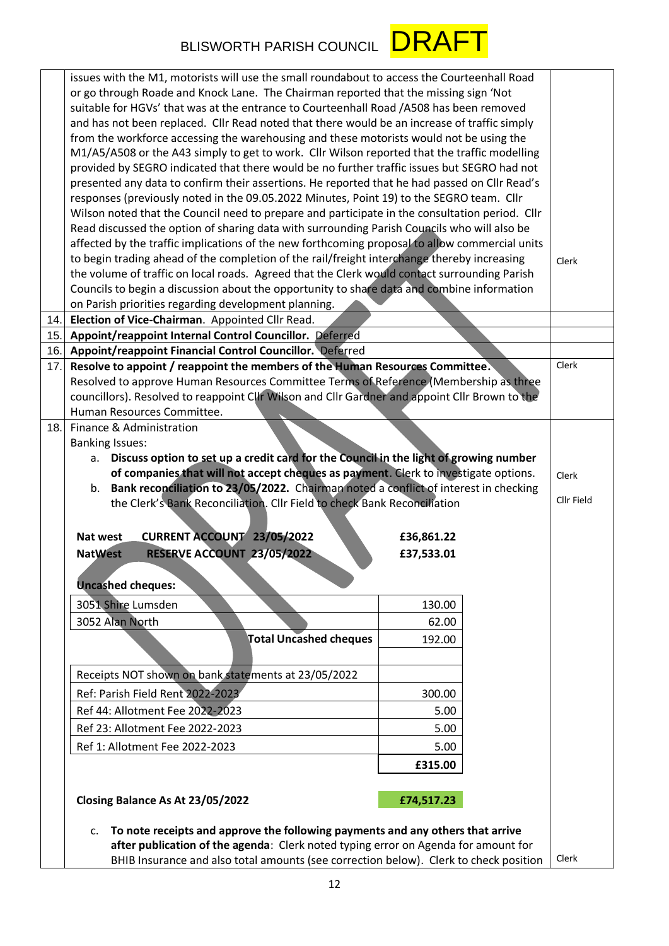## BLISWORTH PARISH COUNCIL **DRAFT**



|                                                                                       | issues with the M1, motorists will use the small roundabout to access the Courteenhall Road<br>or go through Roade and Knock Lane. The Chairman reported that the missing sign 'Not<br>suitable for HGVs' that was at the entrance to Courteenhall Road / A508 has been removed |                          |  |            |  |
|---------------------------------------------------------------------------------------|---------------------------------------------------------------------------------------------------------------------------------------------------------------------------------------------------------------------------------------------------------------------------------|--------------------------|--|------------|--|
|                                                                                       | and has not been replaced. Cllr Read noted that there would be an increase of traffic simply                                                                                                                                                                                    |                          |  |            |  |
|                                                                                       | from the workforce accessing the warehousing and these motorists would not be using the                                                                                                                                                                                         |                          |  |            |  |
|                                                                                       | M1/A5/A508 or the A43 simply to get to work. Cllr Wilson reported that the traffic modelling                                                                                                                                                                                    |                          |  |            |  |
|                                                                                       | provided by SEGRO indicated that there would be no further traffic issues but SEGRO had not                                                                                                                                                                                     |                          |  |            |  |
|                                                                                       | presented any data to confirm their assertions. He reported that he had passed on Cllr Read's                                                                                                                                                                                   |                          |  |            |  |
|                                                                                       | responses (previously noted in the 09.05.2022 Minutes, Point 19) to the SEGRO team. Cllr<br>Wilson noted that the Council need to prepare and participate in the consultation period. Cllr                                                                                      |                          |  |            |  |
|                                                                                       | Read discussed the option of sharing data with surrounding Parish Councils who will also be                                                                                                                                                                                     |                          |  |            |  |
|                                                                                       | affected by the traffic implications of the new forthcoming proposal to allow commercial units                                                                                                                                                                                  |                          |  |            |  |
|                                                                                       | to begin trading ahead of the completion of the rail/freight interchange thereby increasing                                                                                                                                                                                     |                          |  | Clerk      |  |
|                                                                                       | the volume of traffic on local roads. Agreed that the Clerk would contact surrounding Parish                                                                                                                                                                                    |                          |  |            |  |
|                                                                                       | Councils to begin a discussion about the opportunity to share data and combine information                                                                                                                                                                                      |                          |  |            |  |
|                                                                                       | on Parish priorities regarding development planning.                                                                                                                                                                                                                            |                          |  |            |  |
| 14.                                                                                   | Election of Vice-Chairman. Appointed Cllr Read.                                                                                                                                                                                                                                 |                          |  |            |  |
| 15.                                                                                   | Appoint/reappoint Internal Control Councillor. Deferred                                                                                                                                                                                                                         |                          |  |            |  |
| 16.                                                                                   | <b>Appoint/reappoint Financial Control Councillor. Deferred</b>                                                                                                                                                                                                                 |                          |  |            |  |
| 17.                                                                                   | Resolve to appoint / reappoint the members of the Human Resources Committee.                                                                                                                                                                                                    |                          |  | Clerk      |  |
|                                                                                       | Resolved to approve Human Resources Committee Terms of Reference (Membership as three                                                                                                                                                                                           |                          |  |            |  |
|                                                                                       | councillors). Resolved to reappoint Clif Wilson and Clir Gardner and appoint Clir Brown to the                                                                                                                                                                                  |                          |  |            |  |
|                                                                                       | Human Resources Committee.                                                                                                                                                                                                                                                      |                          |  |            |  |
| 18.1                                                                                  | Finance & Administration                                                                                                                                                                                                                                                        |                          |  |            |  |
|                                                                                       | <b>Banking Issues:</b>                                                                                                                                                                                                                                                          |                          |  |            |  |
|                                                                                       | Discuss option to set up a credit card for the Council in the light of growing number<br>a.                                                                                                                                                                                     |                          |  |            |  |
|                                                                                       | of companies that will not accept cheques as payment. Clerk to investigate options.                                                                                                                                                                                             |                          |  | Clerk      |  |
|                                                                                       | Bank reconciliation to 23/05/2022. Chairman noted a conflict of interest in checking<br>b.<br>the Clerk's Bank Reconciliation. Cllr Field to check Bank Reconciliation                                                                                                          |                          |  | Cllr Field |  |
|                                                                                       |                                                                                                                                                                                                                                                                                 |                          |  |            |  |
|                                                                                       | <b>CURRENT ACCOUNT 23/05/2022</b><br>Nat west                                                                                                                                                                                                                                   |                          |  |            |  |
|                                                                                       | RESERVE ACCOUNT 23/05/2022<br><b>NatWest</b>                                                                                                                                                                                                                                    | £36,861.22<br>£37,533.01 |  |            |  |
|                                                                                       |                                                                                                                                                                                                                                                                                 |                          |  |            |  |
|                                                                                       | <b>Uncashed cheques:</b>                                                                                                                                                                                                                                                        |                          |  |            |  |
|                                                                                       |                                                                                                                                                                                                                                                                                 |                          |  |            |  |
|                                                                                       | 3051 Shire Lumsden                                                                                                                                                                                                                                                              | 130.00                   |  |            |  |
|                                                                                       | 3052 Alan North                                                                                                                                                                                                                                                                 | 62.00                    |  |            |  |
|                                                                                       | <b>Total Uncashed cheques</b>                                                                                                                                                                                                                                                   | 192.00                   |  |            |  |
|                                                                                       |                                                                                                                                                                                                                                                                                 |                          |  |            |  |
|                                                                                       | Receipts NOT shown on bank statements at 23/05/2022                                                                                                                                                                                                                             |                          |  |            |  |
|                                                                                       | Ref: Parish Field Rent 2022-2023                                                                                                                                                                                                                                                | 300.00                   |  |            |  |
|                                                                                       | Ref 44: Allotment Fee 2022-2023                                                                                                                                                                                                                                                 | 5.00                     |  |            |  |
|                                                                                       | Ref 23: Allotment Fee 2022-2023                                                                                                                                                                                                                                                 | 5.00                     |  |            |  |
|                                                                                       | Ref 1: Allotment Fee 2022-2023                                                                                                                                                                                                                                                  | 5.00                     |  |            |  |
|                                                                                       |                                                                                                                                                                                                                                                                                 | £315.00                  |  |            |  |
|                                                                                       |                                                                                                                                                                                                                                                                                 |                          |  |            |  |
|                                                                                       |                                                                                                                                                                                                                                                                                 |                          |  |            |  |
|                                                                                       | Closing Balance As At 23/05/2022                                                                                                                                                                                                                                                | £74,517.23               |  |            |  |
|                                                                                       |                                                                                                                                                                                                                                                                                 |                          |  |            |  |
|                                                                                       | To note receipts and approve the following payments and any others that arrive<br>c.<br>after publication of the agenda: Clerk noted typing error on Agenda for amount for                                                                                                      |                          |  |            |  |
|                                                                                       |                                                                                                                                                                                                                                                                                 |                          |  | Clerk      |  |
| BHIB Insurance and also total amounts (see correction below). Clerk to check position |                                                                                                                                                                                                                                                                                 |                          |  |            |  |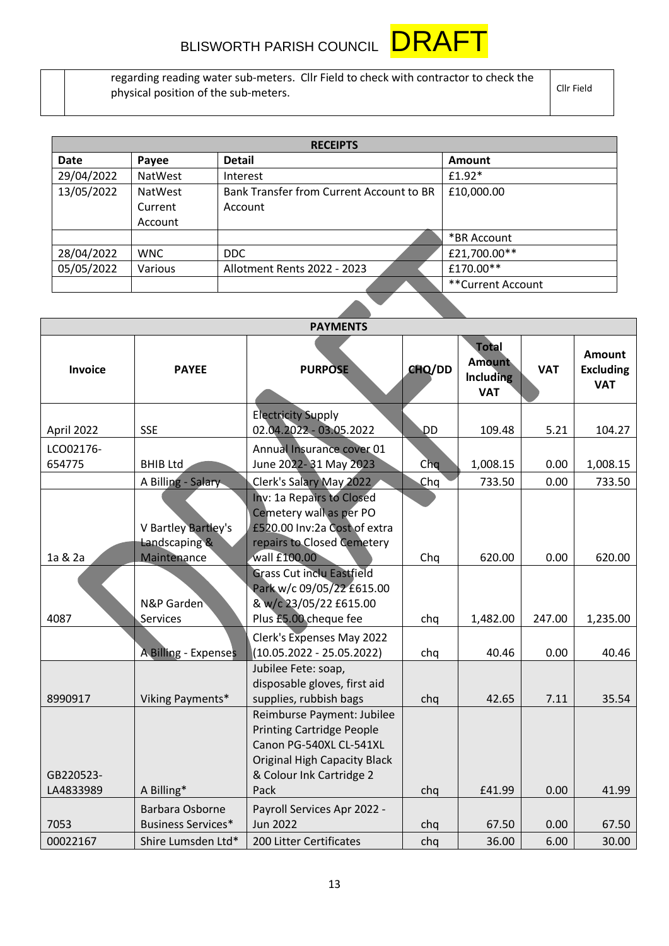

regarding reading water sub-meters. Cllr Field to check with contractor to check the physical position of the sub-meters.

Cllr Field

| <b>RECEIPTS</b> |                |                                          |                   |  |  |  |
|-----------------|----------------|------------------------------------------|-------------------|--|--|--|
| Date            | Payee          | <b>Detail</b>                            | Amount            |  |  |  |
| 29/04/2022      | <b>NatWest</b> | Interest                                 | $£1.92*$          |  |  |  |
| 13/05/2022      | NatWest        | Bank Transfer from Current Account to BR | £10,000.00        |  |  |  |
|                 | Current        | Account                                  |                   |  |  |  |
|                 | Account        |                                          |                   |  |  |  |
|                 |                |                                          | *BR Account       |  |  |  |
| 28/04/2022      | <b>WNC</b>     | <b>DDC</b>                               | £21,700.00**      |  |  |  |
| 05/05/2022      | Various        | Allotment Rents 2022 - 2023              | £170.00**         |  |  |  |
|                 |                |                                          | **Current Account |  |  |  |
|                 |                |                                          |                   |  |  |  |

|                     | <b>PAYMENTS</b>                              |                                                                                                                                                              |        |                                                                 |            |                                                 |
|---------------------|----------------------------------------------|--------------------------------------------------------------------------------------------------------------------------------------------------------------|--------|-----------------------------------------------------------------|------------|-------------------------------------------------|
| Invoice             | <b>PAYEE</b>                                 | <b>PURPOSE</b>                                                                                                                                               | CHQ/DD | <b>Total</b><br><b>Amount</b><br><b>Including</b><br><b>VAT</b> | <b>VAT</b> | <b>Amount</b><br><b>Excluding</b><br><b>VAT</b> |
| April 2022          | <b>SSE</b>                                   | <b>Electricity Supply</b><br>02.04.2022 - 03.05.2022                                                                                                         | DD     | 109.48                                                          | 5.21       | 104.27                                          |
| LCO02176-<br>654775 | <b>BHIB Ltd</b>                              | Annual Insurance cover 01<br>June 2022-31 May 2023                                                                                                           | Chq    | 1,008.15                                                        | 0.00       | 1,008.15                                        |
|                     | A Billing - Salary                           | Clerk's Salary May 2022                                                                                                                                      | Chq    | 733.50                                                          | 0.00       | 733.50                                          |
|                     | V Bartley Bartley's<br>Landscaping &         | Inv: 1a Repairs to Closed<br>Cemetery wall as per PO<br>£520.00 Inv:2a Cost of extra<br>repairs to Closed Cemetery                                           |        |                                                                 |            |                                                 |
| 1a & 2a             | Maintenance                                  | wall £100.00                                                                                                                                                 | Chq    | 620.00                                                          | 0.00       | 620.00                                          |
| 4087                | N&P Garden<br>Services                       | <b>Grass Cut inclu Eastfield</b><br>Park w/c 09/05/22 £615.00<br>& w/c 23/05/22 £615.00<br>Plus £5.00 cheque fee                                             | chq    | 1,482.00                                                        | 247.00     | 1,235.00                                        |
|                     | A Billing - Expenses                         | Clerk's Expenses May 2022<br>$(10.05.2022 - 25.05.2022)$                                                                                                     | chq    | 40.46                                                           | 0.00       | 40.46                                           |
| 8990917             | Viking Payments*                             | Jubilee Fete: soap,<br>disposable gloves, first aid<br>supplies, rubbish bags                                                                                | chq    | 42.65                                                           | 7.11       | 35.54                                           |
| GB220523-           |                                              | Reimburse Payment: Jubilee<br><b>Printing Cartridge People</b><br>Canon PG-540XL CL-541XL<br><b>Original High Capacity Black</b><br>& Colour Ink Cartridge 2 |        |                                                                 |            |                                                 |
| LA4833989           | A Billing*                                   | Pack                                                                                                                                                         | chq    | £41.99                                                          | 0.00       | 41.99                                           |
| 7053                | Barbara Osborne<br><b>Business Services*</b> | Payroll Services Apr 2022 -<br><b>Jun 2022</b>                                                                                                               | chq    | 67.50                                                           | 0.00       | 67.50                                           |
| 00022167            | Shire Lumsden Ltd*                           | 200 Litter Certificates                                                                                                                                      | chq    | 36.00                                                           | 6.00       | 30.00                                           |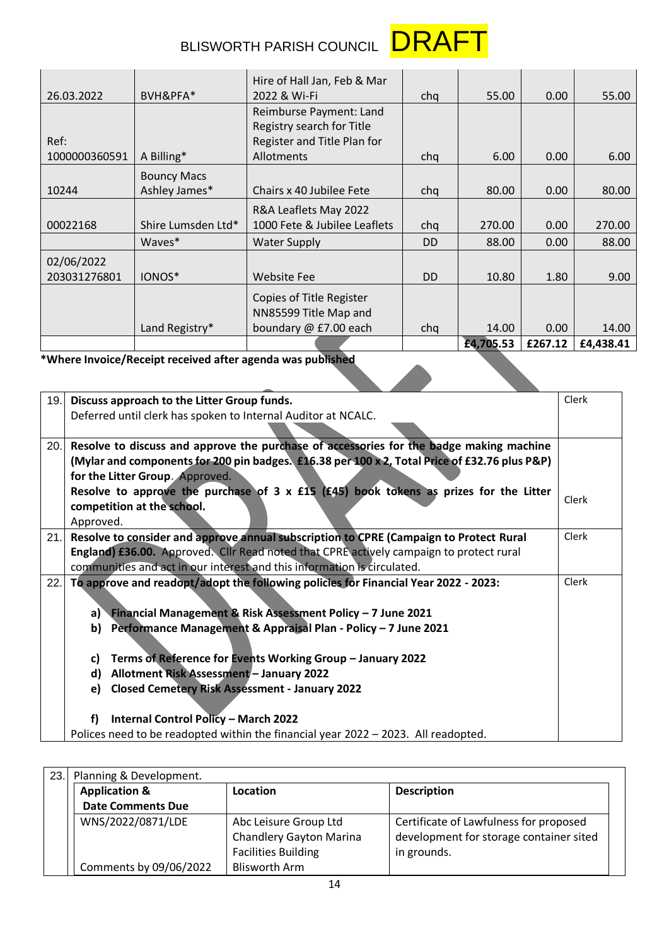

## BLISWORTH PARISH COUNCIL **DRAFT**

|               |                    | Hire of Hall Jan, Feb & Mar  |           |           |         |           |
|---------------|--------------------|------------------------------|-----------|-----------|---------|-----------|
| 26.03.2022    | BVH&PFA*           | 2022 & Wi-Fi                 | cha       | 55.00     | 0.00    | 55.00     |
|               |                    | Reimburse Payment: Land      |           |           |         |           |
|               |                    | Registry search for Title    |           |           |         |           |
| Ref:          |                    | Register and Title Plan for  |           |           |         |           |
| 1000000360591 | A Billing*         | Allotments                   | chq       | 6.00      | 0.00    | 6.00      |
|               | <b>Bouncy Macs</b> |                              |           |           |         |           |
| 10244         | Ashley James*      | Chairs x 40 Jubilee Fete     | cha       | 80.00     | 0.00    | 80.00     |
|               |                    | R&A Leaflets May 2022        |           |           |         |           |
| 00022168      | Shire Lumsden Ltd* | 1000 Fete & Jubilee Leaflets | chq       | 270.00    | 0.00    | 270.00    |
|               | Waves*             | <b>Water Supply</b>          | <b>DD</b> | 88.00     | 0.00    | 88.00     |
| 02/06/2022    |                    |                              |           |           |         |           |
| 203031276801  | IONOS*             | <b>Website Fee</b>           | <b>DD</b> | 10.80     | 1.80    | 9.00      |
|               |                    | Copies of Title Register     |           |           |         |           |
|               |                    | NN85599 Title Map and        |           |           |         |           |
|               | Land Registry*     | boundary @ £7.00 each        | chq       | 14.00     | 0.00    | 14.00     |
|               |                    |                              |           | £4,705.53 | £267.12 | £4,438.41 |

**\*Where Invoice/Receipt received after agenda was published**

| 19.  | Discuss approach to the Litter Group funds.                                                   | Clerk        |
|------|-----------------------------------------------------------------------------------------------|--------------|
|      | Deferred until clerk has spoken to Internal Auditor at NCALC.                                 |              |
|      |                                                                                               |              |
| 20.  | Resolve to discuss and approve the purchase of accessories for the badge making machine       |              |
|      | (Mylar and components for 200 pin badges. £16.38 per 100 x 2, Total Price of £32.76 plus P&P) |              |
|      | for the Litter Group. Approved.                                                               |              |
|      | Resolve to approve the purchase of 3 x £15 (£45) book tokens as prizes for the Litter         |              |
|      | competition at the school.                                                                    | Clerk        |
|      | Approved.                                                                                     |              |
| 21.1 | Resolve to consider and approve annual subscription to CPRE (Campaign to Protect Rural        | Clerk        |
|      | England) £36.00. Approved. Cllr Read noted that CPRE actively campaign to protect rural       |              |
|      | communities and act in our interest and this information is circulated.                       |              |
| 22.1 | To approve and readopt/adopt the following policies for Financial Year 2022 - 2023:           | <b>Clerk</b> |
|      |                                                                                               |              |
|      | a) Financial Management & Risk Assessment Policy - 7 June 2021                                |              |
|      | b) Performance Management & Appraisal Plan - Policy - 7 June 2021                             |              |
|      |                                                                                               |              |
|      | Terms of Reference for Events Working Group - January 2022<br>C)                              |              |
|      | Allotment Risk Assessment - January 2022<br>d)                                                |              |
|      | <b>Closed Cemetery Risk Assessment - January 2022</b><br>e)                                   |              |
|      |                                                                                               |              |
|      | Internal Control Policy - March 2022<br>f)                                                    |              |
|      | Polices need to be readopted within the financial year 2022 - 2023. All readopted.            |              |
|      |                                                                                               |              |

| 23.1 | Planning & Development.  |                                |                                         |  |  |  |  |
|------|--------------------------|--------------------------------|-----------------------------------------|--|--|--|--|
|      | <b>Application &amp;</b> | Location                       | <b>Description</b>                      |  |  |  |  |
|      | <b>Date Comments Due</b> |                                |                                         |  |  |  |  |
|      | WNS/2022/0871/LDE        | Abc Leisure Group Ltd          | Certificate of Lawfulness for proposed  |  |  |  |  |
|      |                          | <b>Chandlery Gayton Marina</b> | development for storage container sited |  |  |  |  |
|      |                          | <b>Facilities Building</b>     | in grounds.                             |  |  |  |  |
|      | Comments by 09/06/2022   | Blisworth Arm                  |                                         |  |  |  |  |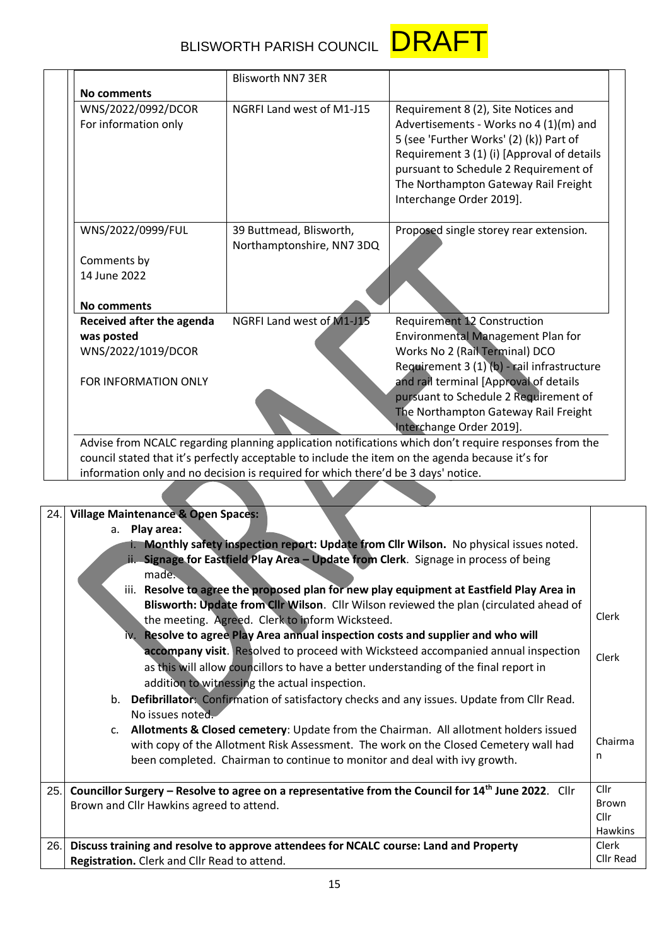| BLISWORTH PARISH COUNCIL <b>DRAF</b> |  |
|--------------------------------------|--|
|                                      |  |



|                           | <b>Blisworth NN7 3ER</b>  |                                             |
|---------------------------|---------------------------|---------------------------------------------|
| <b>No comments</b>        |                           |                                             |
| WNS/2022/0992/DCOR        | NGRFI Land west of M1-J15 | Requirement 8 (2), Site Notices and         |
| For information only      |                           | Advertisements - Works no 4 (1)(m) and      |
|                           |                           | 5 (see 'Further Works' (2) (k)) Part of     |
|                           |                           | Requirement 3 (1) (i) [Approval of details  |
|                           |                           | pursuant to Schedule 2 Requirement of       |
|                           |                           | The Northampton Gateway Rail Freight        |
|                           |                           | Interchange Order 2019].                    |
| WNS/2022/0999/FUL         | 39 Buttmead, Blisworth,   | Proposed single storey rear extension.      |
|                           | Northamptonshire, NN7 3DQ |                                             |
| Comments by               |                           |                                             |
| 14 June 2022              |                           |                                             |
| <b>No comments</b>        |                           |                                             |
| Received after the agenda | NGRFI Land west of M1-J15 | <b>Requirement 12 Construction</b>          |
| was posted                |                           | Environmental Management Plan for           |
| WNS/2022/1019/DCOR        |                           | Works No 2 (Rail Terminal) DCO              |
|                           |                           | Requirement 3 (1) (b) - rail infrastructure |
| FOR INFORMATION ONLY      |                           | and rail terminal [Approval of details      |
|                           |                           | pursuant to Schedule 2 Requirement of       |
|                           |                           | The Northampton Gateway Rail Freight        |
|                           |                           | Interchange Order 2019].                    |

information only and no decision is required for which there'd be 3 days' notice.

| 24. | <b>Village Maintenance &amp; Open Spaces:</b>                                                                   |                |
|-----|-----------------------------------------------------------------------------------------------------------------|----------------|
|     | a. Play area:                                                                                                   |                |
|     | i. Monthly safety inspection report: Update from Cllr Wilson. No physical issues noted.                         |                |
|     | ii. Signage for Eastfield Play Area - Update from Clerk. Signage in process of being                            |                |
|     | made.                                                                                                           |                |
|     | iii. Resolve to agree the proposed plan for new play equipment at Eastfield Play Area in                        |                |
|     | Blisworth: Update from Cllr Wilson. Cllr Wilson reviewed the plan (circulated ahead of                          |                |
|     | the meeting. Agreed. Clerk to inform Wicksteed.                                                                 | Clerk          |
|     | iv. Resolve to agree Play Area annual inspection costs and supplier and who will                                |                |
|     | accompany visit. Resolved to proceed with Wicksteed accompanied annual inspection                               | Clerk          |
|     | as this will allow councillors to have a better understanding of the final report in                            |                |
|     | addition to witnessing the actual inspection.                                                                   |                |
|     | b. Defibrillator: Confirmation of satisfactory checks and any issues. Update from Cllr Read.                    |                |
|     | No issues noted.                                                                                                |                |
|     | c. Allotments & Closed cemetery: Update from the Chairman. All allotment holders issued                         |                |
|     | with copy of the Allotment Risk Assessment. The work on the Closed Cemetery wall had                            | Chairma        |
|     | been completed. Chairman to continue to monitor and deal with ivy growth.                                       | n              |
|     |                                                                                                                 |                |
| 25. | Councillor Surgery – Resolve to agree on a representative from the Council for 14 <sup>th</sup> June 2022. Cllr | Cllr           |
|     | Brown and Cllr Hawkins agreed to attend.                                                                        | <b>Brown</b>   |
|     |                                                                                                                 | Cllr           |
|     |                                                                                                                 | <b>Hawkins</b> |
| 26. | Discuss training and resolve to approve attendees for NCALC course: Land and Property                           | Clerk          |
|     | Registration. Clerk and Cllr Read to attend.                                                                    | Cllr Read      |